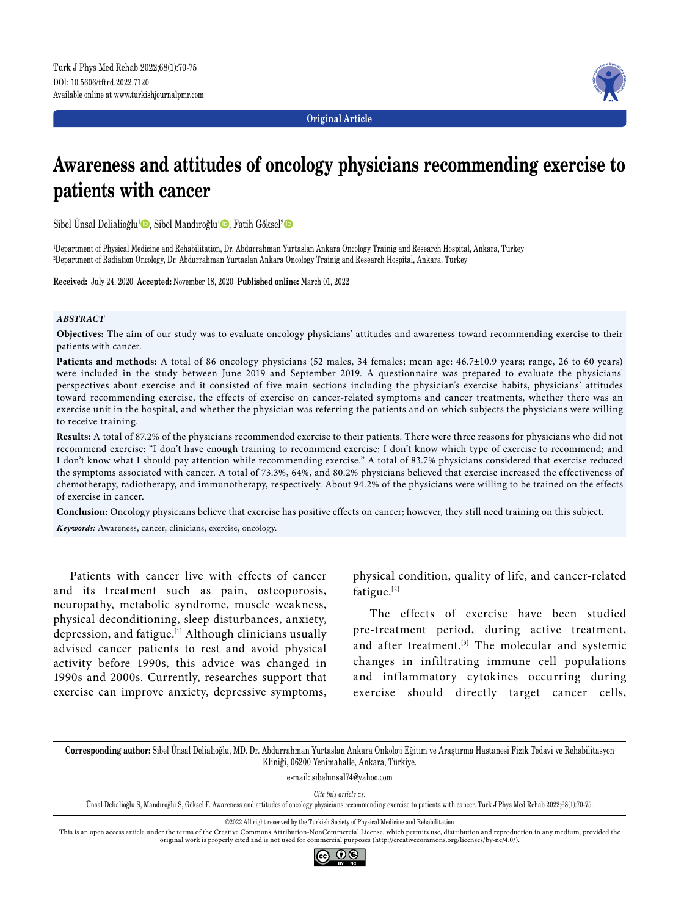

**Original Article**

# **Awareness and attitudes of oncology physicians recommending exercise to patients with cancer**

Sibel Ünsal Delialioğlu<sup>1</sup> (D, Sibel Mandıroğlu<sup>1</sup> (D, Fatih Göksel<sup>2</sup> (D

1 Department of Physical Medicine and Rehabilitation, Dr. Abdurrahman Yurtaslan Ankara Oncology Trainig and Research Hospital, Ankara, Turkey 2 Department of Radiation Oncology, Dr. Abdurrahman Yurtaslan Ankara Oncology Trainig and Research Hospital, Ankara, Turkey

**Received:** July 24, 2020 **Accepted:** November 18, 2020 **Published online:** March 01, 2022

### *ABSTRACT*

**Objectives:** The aim of our study was to evaluate oncology physicians' attitudes and awareness toward recommending exercise to their patients with cancer.

**Patients and methods:** A total of 86 oncology physicians (52 males, 34 females; mean age: 46.7±10.9 years; range, 26 to 60 years) were included in the study between June 2019 and September 2019. A questionnaire was prepared to evaluate the physicians' perspectives about exercise and it consisted of five main sections including the physician's exercise habits, physicians' attitudes toward recommending exercise, the effects of exercise on cancer-related symptoms and cancer treatments, whether there was an exercise unit in the hospital, and whether the physician was referring the patients and on which subjects the physicians were willing to receive training.

**Results:** A total of 87.2% of the physicians recommended exercise to their patients. There were three reasons for physicians who did not recommend exercise: "I don't have enough training to recommend exercise; I don't know which type of exercise to recommend; and I don't know what I should pay attention while recommending exercise." A total of 83.7% physicians considered that exercise reduced the symptoms associated with cancer. A total of 73.3%, 64%, and 80.2% physicians believed that exercise increased the effectiveness of chemotherapy, radiotherapy, and immunotherapy, respectively. About 94.2% of the physicians were willing to be trained on the effects of exercise in cancer.

**Conclusion:** Oncology physicians believe that exercise has positive effects on cancer; however, they still need training on this subject.

*Keywords:* Awareness, cancer, clinicians, exercise, oncology.

Patients with cancer live with effects of cancer and its treatment such as pain, osteoporosis, neuropathy, metabolic syndrome, muscle weakness, physical deconditioning, sleep disturbances, anxiety, depression, and fatigue.[1] Although clinicians usually advised cancer patients to rest and avoid physical activity before 1990s, this advice was changed in 1990s and 2000s. Currently, researches support that exercise can improve anxiety, depressive symptoms, physical condition, quality of life, and cancer-related fatigue.[2]

The effects of exercise have been studied pre-treatment period, during active treatment, and after treatment.<sup>[3]</sup> The molecular and systemic changes in infiltrating immune cell populations and inflammatory cytokines occurring during exercise should directly target cancer cells,

**Corresponding author:** Sibel Ünsal Delialioğlu, MD. Dr. Abdurrahman Yurtaslan Ankara Onkoloji Eğitim ve Araştırma Hastanesi Fizik Tedavi ve Rehabilitasyon Kliniği, 06200 Yenimahalle, Ankara, Türkiye.

e-mail: sibelunsal74@yahoo.com

*Cite this article as:*

Ünsal Delialioğlu S, Mandıroğlu S, Göksel F. Awareness and attitudes of oncology physicians recommending exercise to patients with cancer. Turk J Phys Med Rehab 2022;68(1):70-75.

©2022 All right reserved by the Turkish Society of Physical Medicine and Rehabilitation

This is an open access article under the terms of the Creative Commons Attribution-NonCommercial License, which permits use, distribution and reproduction in any medium, provided the original work is properly cited and is not used for commercial purposes (http://creativecommons.org/licenses/by-nc/4.0/).

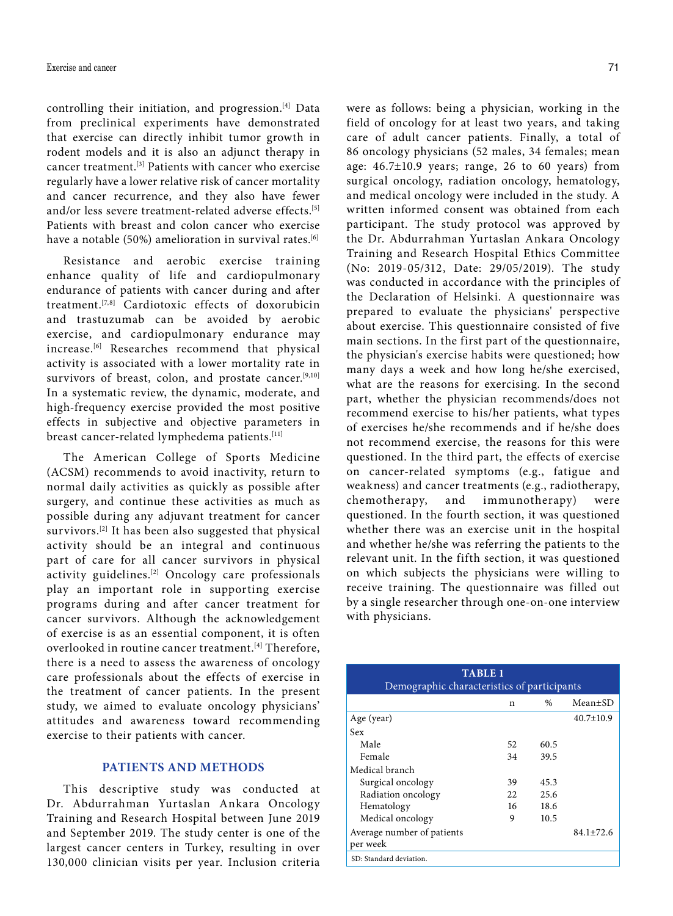controlling their initiation, and progression.[4] Data from preclinical experiments have demonstrated that exercise can directly inhibit tumor growth in rodent models and it is also an adjunct therapy in cancer treatment.[3] Patients with cancer who exercise regularly have a lower relative risk of cancer mortality and cancer recurrence, and they also have fewer and/or less severe treatment-related adverse effects.<sup>[5]</sup> Patients with breast and colon cancer who exercise have a notable (50%) amelioration in survival rates.<sup>[6]</sup>

Resistance and aerobic exercise training enhance quality of life and cardiopulmonary endurance of patients with cancer during and after treatment.[7,8] Cardiotoxic effects of doxorubicin and trastuzumab can be avoided by aerobic exercise, and cardiopulmonary endurance may increase.[6] Researches recommend that physical activity is associated with a lower mortality rate in survivors of breast, colon, and prostate cancer.<sup>[9,10]</sup> In a systematic review, the dynamic, moderate, and high-frequency exercise provided the most positive effects in subjective and objective parameters in breast cancer-related lymphedema patients.[11]

The American College of Sports Medicine (ACSM) recommends to avoid inactivity, return to normal daily activities as quickly as possible after surgery, and continue these activities as much as possible during any adjuvant treatment for cancer survivors.<sup>[2]</sup> It has been also suggested that physical activity should be an integral and continuous part of care for all cancer survivors in physical activity guidelines.[2] Oncology care professionals play an important role in supporting exercise programs during and after cancer treatment for cancer survivors. Although the acknowledgement of exercise is as an essential component, it is often overlooked in routine cancer treatment.<sup>[4]</sup> Therefore, there is a need to assess the awareness of oncology care professionals about the effects of exercise in the treatment of cancer patients. In the present study, we aimed to evaluate oncology physicians' attitudes and awareness toward recommending exercise to their patients with cancer.

# **PATIENTS AND METHODS**

This descriptive study was conducted at Dr. Abdurrahman Yurtaslan Ankara Oncology Training and Research Hospital between June 2019 and September 2019. The study center is one of the largest cancer centers in Turkey, resulting in over 130,000 clinician visits per year. Inclusion criteria

were as follows: being a physician, working in the field of oncology for at least two years, and taking care of adult cancer patients. Finally, a total of 86 oncology physicians (52 males, 34 females; mean age:  $46.7\pm10.9$  years; range, 26 to 60 years) from surgical oncology, radiation oncology, hematology, and medical oncology were included in the study. A written informed consent was obtained from each participant. The study protocol was approved by the Dr. Abdurrahman Yurtaslan Ankara Oncology Training and Research Hospital Ethics Committee (No: 2019-05/312, Date: 29/05/2019). The study was conducted in accordance with the principles of the Declaration of Helsinki. A questionnaire was prepared to evaluate the physicians' perspective about exercise. This questionnaire consisted of five main sections. In the first part of the questionnaire, the physician's exercise habits were questioned; how many days a week and how long he/she exercised, what are the reasons for exercising. In the second part, whether the physician recommends/does not recommend exercise to his/her patients, what types of exercises he/she recommends and if he/she does not recommend exercise, the reasons for this were questioned. In the third part, the effects of exercise on cancer-related symptoms (e.g., fatigue and weakness) and cancer treatments (e.g., radiotherapy, chemotherapy, and immunotherapy) were questioned. In the fourth section, it was questioned whether there was an exercise unit in the hospital and whether he/she was referring the patients to the relevant unit. In the fifth section, it was questioned on which subjects the physicians were willing to receive training. The questionnaire was filled out by a single researcher through one-on-one interview with physicians.

| <b>TABLE 1</b><br>Demographic characteristics of participants |     |      |                 |  |  |  |  |  |  |
|---------------------------------------------------------------|-----|------|-----------------|--|--|--|--|--|--|
|                                                               | n   | %    | $Mean \pm SD$   |  |  |  |  |  |  |
| Age (year)                                                    |     |      | $40.7 \pm 10.9$ |  |  |  |  |  |  |
| Sex                                                           |     |      |                 |  |  |  |  |  |  |
| Male                                                          | 52  | 60.5 |                 |  |  |  |  |  |  |
| Female                                                        | 34  | 39.5 |                 |  |  |  |  |  |  |
| Medical branch                                                |     |      |                 |  |  |  |  |  |  |
| Surgical oncology                                             | 39  | 45.3 |                 |  |  |  |  |  |  |
| Radiation oncology                                            | 22. | 25.6 |                 |  |  |  |  |  |  |
| Hematology                                                    | 16  | 18.6 |                 |  |  |  |  |  |  |
| Medical oncology                                              | 9   | 10.5 |                 |  |  |  |  |  |  |
| Average number of patients<br>per week                        |     |      | $84.1 + 72.6$   |  |  |  |  |  |  |
| SD: Standard deviation.                                       |     |      |                 |  |  |  |  |  |  |
|                                                               |     |      |                 |  |  |  |  |  |  |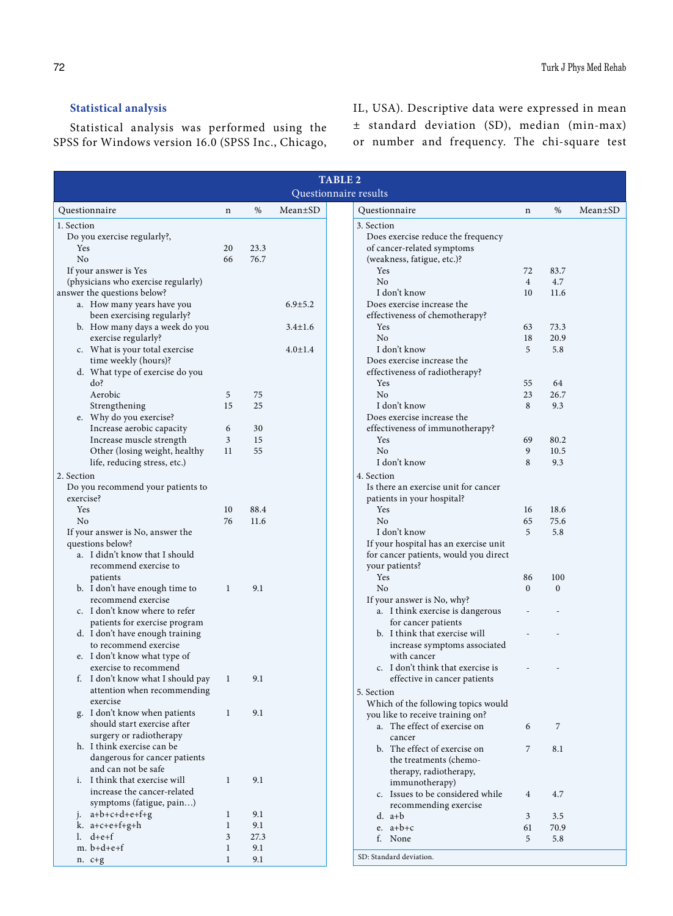# **Statistical analysis**

Statistical analysis was performed using the SPSS for Windows version 16.0 (SPSS Inc., Chicago, IL, USA). Descriptive data were expressed in mean ± standard deviation (SD), median (min-max) or number and frequency. The chi-square test

| <b>TABLE 2</b>                                                     |              |      |               |                                                                       |  |  |  |  |  |
|--------------------------------------------------------------------|--------------|------|---------------|-----------------------------------------------------------------------|--|--|--|--|--|
| Questionnaire results                                              |              |      |               |                                                                       |  |  |  |  |  |
| Questionnaire                                                      | $\mathbf n$  | $\%$ | Mean±SD       | %<br>$Mean \pm SD$<br>Questionnaire<br>n                              |  |  |  |  |  |
| 1. Section                                                         |              |      |               | 3. Section                                                            |  |  |  |  |  |
| Do you exercise regularly?,                                        |              |      |               | Does exercise reduce the frequency                                    |  |  |  |  |  |
| Yes                                                                | 20           | 23.3 |               | of cancer-related symptoms                                            |  |  |  |  |  |
| No                                                                 | 66           | 76.7 |               | (weakness, fatigue, etc.)?                                            |  |  |  |  |  |
| If your answer is Yes                                              |              |      |               | Yes<br>72<br>83.7                                                     |  |  |  |  |  |
| (physicians who exercise regularly)<br>answer the questions below? |              |      |               | N <sub>0</sub><br>$\overline{4}$<br>4.7<br>I don't know<br>10<br>11.6 |  |  |  |  |  |
| a. How many years have you                                         |              |      | $6.9 + 5.2$   | Does exercise increase the                                            |  |  |  |  |  |
| been exercising regularly?                                         |              |      |               | effectiveness of chemotherapy?                                        |  |  |  |  |  |
| b. How many days a week do you                                     |              |      | $3.4 \pm 1.6$ | Yes<br>63<br>73.3                                                     |  |  |  |  |  |
| exercise regularly?                                                |              |      |               | N <sub>0</sub><br>18<br>20.9                                          |  |  |  |  |  |
| c. What is your total exercise                                     |              |      | $4.0 \pm 1.4$ | I don't know<br>5<br>5.8                                              |  |  |  |  |  |
| time weekly (hours)?                                               |              |      |               | Does exercise increase the                                            |  |  |  |  |  |
| d. What type of exercise do you                                    |              |      |               | effectiveness of radiotherapy?                                        |  |  |  |  |  |
| do?                                                                |              |      |               | Yes<br>55<br>64                                                       |  |  |  |  |  |
| Aerobic                                                            | 5            | 75   |               | No<br>23<br>26.7                                                      |  |  |  |  |  |
| Strengthening                                                      | 15           | 25   |               | I don't know<br>8<br>9.3                                              |  |  |  |  |  |
| e. Why do you exercise?                                            |              |      |               | Does exercise increase the                                            |  |  |  |  |  |
| Increase aerobic capacity                                          | 6            | 30   |               | effectiveness of immunotherapy?                                       |  |  |  |  |  |
| Increase muscle strength                                           | 3            | 15   |               | 69<br>80.2<br>Yes                                                     |  |  |  |  |  |
| Other (losing weight, healthy                                      | 11           | 55   |               | N <sub>0</sub><br>9<br>10.5                                           |  |  |  |  |  |
| life, reducing stress, etc.)                                       |              |      |               | I don't know<br>8<br>9.3                                              |  |  |  |  |  |
| 2. Section                                                         |              |      |               | 4. Section                                                            |  |  |  |  |  |
| Do you recommend your patients to                                  |              |      |               | Is there an exercise unit for cancer                                  |  |  |  |  |  |
| exercise?                                                          |              |      |               | patients in your hospital?                                            |  |  |  |  |  |
| Yes                                                                | 10           | 88.4 |               | 18.6<br>Yes<br>16                                                     |  |  |  |  |  |
| N <sub>0</sub>                                                     | 76           | 11.6 |               | N <sub>0</sub><br>75.6<br>65<br>5                                     |  |  |  |  |  |
| If your answer is No, answer the<br>questions below?               |              |      |               | I don't know<br>5.8<br>If your hospital has an exercise unit          |  |  |  |  |  |
| a. I didn't know that I should                                     |              |      |               | for cancer patients, would you direct                                 |  |  |  |  |  |
| recommend exercise to                                              |              |      |               | your patients?                                                        |  |  |  |  |  |
| patients                                                           |              |      |               | Yes<br>86<br>100                                                      |  |  |  |  |  |
| b. I don't have enough time to                                     | 1            | 9.1  |               | No<br>$\mathbf{0}$<br>$\mathbf{0}$                                    |  |  |  |  |  |
| recommend exercise                                                 |              |      |               | If your answer is No, why?                                            |  |  |  |  |  |
| c. I don't know where to refer                                     |              |      |               | a. I think exercise is dangerous                                      |  |  |  |  |  |
| patients for exercise program                                      |              |      |               | for cancer patients                                                   |  |  |  |  |  |
| d. I don't have enough training                                    |              |      |               | b. I think that exercise will                                         |  |  |  |  |  |
| to recommend exercise                                              |              |      |               | increase symptoms associated                                          |  |  |  |  |  |
| e. I don't know what type of                                       |              |      |               | with cancer                                                           |  |  |  |  |  |
| exercise to recommend                                              |              |      |               | c. I don't think that exercise is                                     |  |  |  |  |  |
| f. I don't know what I should pay                                  | 1            | 9.1  |               | effective in cancer patients                                          |  |  |  |  |  |
| attention when recommending                                        |              |      |               | 5. Section                                                            |  |  |  |  |  |
| exercise                                                           |              |      |               | Which of the following topics would                                   |  |  |  |  |  |
| g. I don't know when patients                                      | 1            | 9.1  |               | you like to receive training on?                                      |  |  |  |  |  |
| should start exercise after                                        |              |      |               | a. The effect of exercise on<br>7<br>6                                |  |  |  |  |  |
| surgery or radiotherapy                                            |              |      |               | cancer                                                                |  |  |  |  |  |
| h. I think exercise can be                                         |              |      |               | b. The effect of exercise on<br>7<br>8.1                              |  |  |  |  |  |
| dangerous for cancer patients                                      |              |      |               | the treatments (chemo-                                                |  |  |  |  |  |
| and can not be safe<br>i. I think that exercise will               | 1            | 9.1  |               | therapy, radiotherapy,                                                |  |  |  |  |  |
| increase the cancer-related                                        |              |      |               | immunotherapy)                                                        |  |  |  |  |  |
| symptoms (fatigue, pain)                                           |              |      |               | c. Issues to be considered while<br>4.7<br>$\overline{4}$             |  |  |  |  |  |
| $a+b+c+d+e+f+g$                                                    | 1            | 9.1  |               | recommending exercise<br>$d. a+b$<br>3<br>3.5                         |  |  |  |  |  |
| k. $a+c+e+f+g+h$                                                   | $\mathbf{1}$ | 9.1  |               | e. $a+b+c$<br>61<br>70.9                                              |  |  |  |  |  |
| $l.$ d+e+f                                                         | 3            | 27.3 |               | f. None<br>5<br>5.8                                                   |  |  |  |  |  |
| $m. b+d+e+f$                                                       | 1            | 9.1  |               |                                                                       |  |  |  |  |  |
| $n. c+g$                                                           | 1            | 9.1  |               | SD: Standard deviation.                                               |  |  |  |  |  |
|                                                                    |              |      |               |                                                                       |  |  |  |  |  |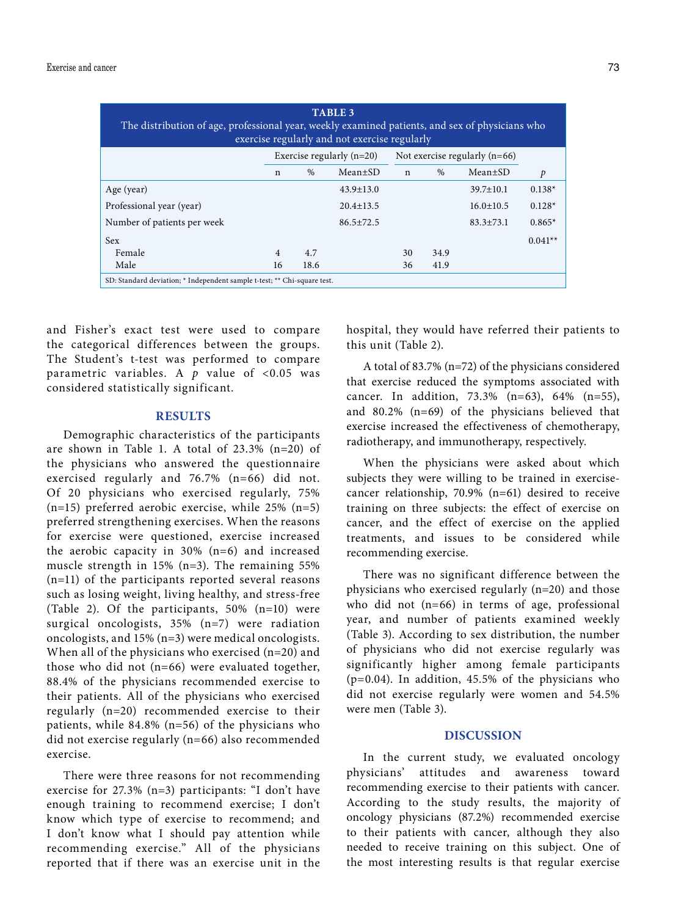| <b>TABLE 3</b><br>The distribution of age, professional year, weekly examined patients, and sex of physicians who<br>exercise regularly and not exercise regularly |                             |               |                 |                                 |      |                 |           |  |  |  |
|--------------------------------------------------------------------------------------------------------------------------------------------------------------------|-----------------------------|---------------|-----------------|---------------------------------|------|-----------------|-----------|--|--|--|
|                                                                                                                                                                    | Exercise regularly $(n=20)$ |               |                 | Not exercise regularly $(n=66)$ |      |                 |           |  |  |  |
|                                                                                                                                                                    | $\mathbf n$                 | $\frac{0}{0}$ | $Mean \pm SD$   | $\mathbf n$                     | $\%$ | $Mean \pm SD$   | p         |  |  |  |
| Age (year)                                                                                                                                                         |                             |               | $43.9 \pm 13.0$ |                                 |      | $39.7 \pm 10.1$ | $0.138*$  |  |  |  |
| Professional year (year)                                                                                                                                           |                             |               | $20.4 \pm 13.5$ |                                 |      | $16.0 \pm 10.5$ | $0.128*$  |  |  |  |
| Number of patients per week                                                                                                                                        |                             |               | $86.5 \pm 72.5$ |                                 |      | $83.3 + 73.1$   | $0.865*$  |  |  |  |
| <b>Sex</b>                                                                                                                                                         |                             |               |                 |                                 |      |                 | $0.041**$ |  |  |  |
| Female                                                                                                                                                             | $\overline{4}$              | 4.7           |                 | 30                              | 34.9 |                 |           |  |  |  |
| Male                                                                                                                                                               | 16                          | 18.6          |                 | 36                              | 41.9 |                 |           |  |  |  |
| SD: Standard deviation; * Independent sample t-test; ** Chi-square test.                                                                                           |                             |               |                 |                                 |      |                 |           |  |  |  |

and Fisher's exact test were used to compare the categorical differences between the groups. The Student's t-test was performed to compare parametric variables. A  $p$  value of <0.05 was considered statistically significant.

### **RESULTS**

Demographic characteristics of the participants are shown in Table 1. A total of 23.3% (n=20) of the physicians who answered the questionnaire exercised regularly and 76.7% (n=66) did not. Of 20 physicians who exercised regularly, 75%  $(n=15)$  preferred aerobic exercise, while 25%  $(n=5)$ preferred strengthening exercises. When the reasons for exercise were questioned, exercise increased the aerobic capacity in 30% (n=6) and increased muscle strength in 15% (n=3). The remaining 55% (n=11) of the participants reported several reasons such as losing weight, living healthy, and stress-free (Table 2). Of the participants, 50% (n=10) were surgical oncologists, 35% (n=7) were radiation oncologists, and 15% (n=3) were medical oncologists. When all of the physicians who exercised (n=20) and those who did not (n=66) were evaluated together, 88.4% of the physicians recommended exercise to their patients. All of the physicians who exercised regularly (n=20) recommended exercise to their patients, while 84.8% (n=56) of the physicians who did not exercise regularly (n=66) also recommended exercise.

There were three reasons for not recommending exercise for 27.3% (n=3) participants: "I don't have enough training to recommend exercise; I don't know which type of exercise to recommend; and I don't know what I should pay attention while recommending exercise." All of the physicians reported that if there was an exercise unit in the hospital, they would have referred their patients to this unit (Table 2).

A total of 83.7% (n=72) of the physicians considered that exercise reduced the symptoms associated with cancer. In addition, 73.3% (n=63), 64% (n=55), and 80.2% (n=69) of the physicians believed that exercise increased the effectiveness of chemotherapy, radiotherapy, and immunotherapy, respectively.

When the physicians were asked about which subjects they were willing to be trained in exercisecancer relationship, 70.9% (n=61) desired to receive training on three subjects: the effect of exercise on cancer, and the effect of exercise on the applied treatments, and issues to be considered while recommending exercise.

There was no significant difference between the physicians who exercised regularly (n=20) and those who did not (n=66) in terms of age, professional year, and number of patients examined weekly (Table 3). According to sex distribution, the number of physicians who did not exercise regularly was significantly higher among female participants (p=0.04). In addition, 45.5% of the physicians who did not exercise regularly were women and 54.5% were men (Table 3).

## **DISCUSSION**

In the current study, we evaluated oncology physicians' attitudes and awareness toward recommending exercise to their patients with cancer. According to the study results, the majority of oncology physicians (87.2%) recommended exercise to their patients with cancer, although they also needed to receive training on this subject. One of the most interesting results is that regular exercise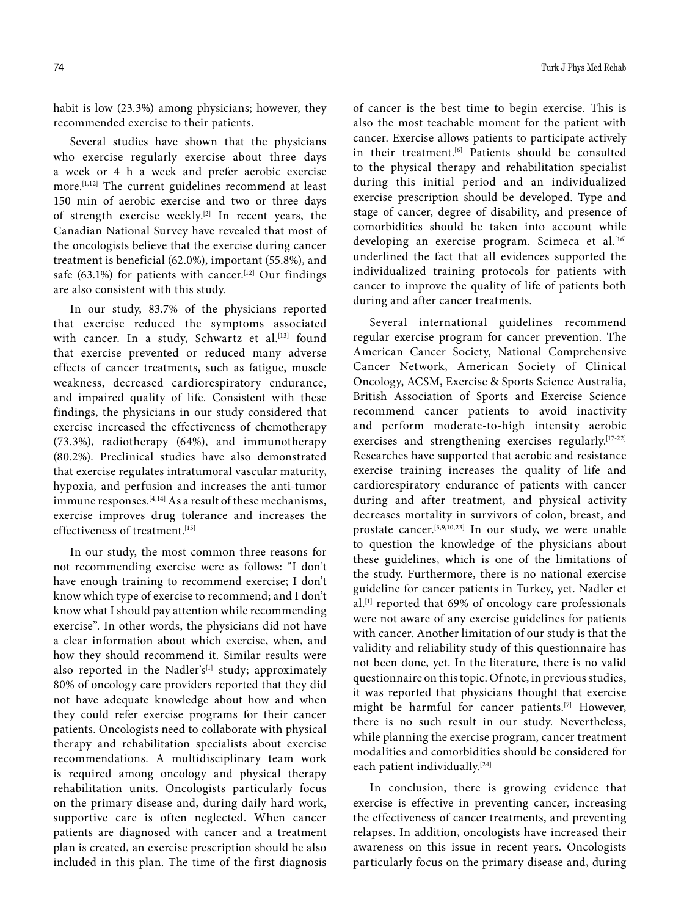habit is low (23.3%) among physicians; however, they recommended exercise to their patients.

Several studies have shown that the physicians who exercise regularly exercise about three days a week or 4 h a week and prefer aerobic exercise more.[1,12] The current guidelines recommend at least 150 min of aerobic exercise and two or three days of strength exercise weekly.<sup>[2]</sup> In recent years, the Canadian National Survey have revealed that most of the oncologists believe that the exercise during cancer treatment is beneficial (62.0%), important (55.8%), and safe (63.1%) for patients with cancer.<sup>[12]</sup> Our findings are also consistent with this study.

In our study, 83.7% of the physicians reported that exercise reduced the symptoms associated with cancer. In a study, Schwartz et al.[13] found that exercise prevented or reduced many adverse effects of cancer treatments, such as fatigue, muscle weakness, decreased cardiorespiratory endurance, and impaired quality of life. Consistent with these findings, the physicians in our study considered that exercise increased the effectiveness of chemotherapy (73.3%), radiotherapy (64%), and immunotherapy (80.2%). Preclinical studies have also demonstrated that exercise regulates intratumoral vascular maturity, hypoxia, and perfusion and increases the anti-tumor immune responses.<sup>[4,14]</sup> As a result of these mechanisms, exercise improves drug tolerance and increases the effectiveness of treatment.[15]

In our study, the most common three reasons for not recommending exercise were as follows: "I don't have enough training to recommend exercise; I don't know which type of exercise to recommend; and I don't know what I should pay attention while recommending exercise". In other words, the physicians did not have a clear information about which exercise, when, and how they should recommend it. Similar results were also reported in the Nadler's<sup>[1]</sup> study; approximately 80% of oncology care providers reported that they did not have adequate knowledge about how and when they could refer exercise programs for their cancer patients. Oncologists need to collaborate with physical therapy and rehabilitation specialists about exercise recommendations. A multidisciplinary team work is required among oncology and physical therapy rehabilitation units. Oncologists particularly focus on the primary disease and, during daily hard work, supportive care is often neglected. When cancer patients are diagnosed with cancer and a treatment plan is created, an exercise prescription should be also included in this plan. The time of the first diagnosis

of cancer is the best time to begin exercise. This is also the most teachable moment for the patient with cancer. Exercise allows patients to participate actively in their treatment.<sup>[6]</sup> Patients should be consulted to the physical therapy and rehabilitation specialist during this initial period and an individualized exercise prescription should be developed. Type and stage of cancer, degree of disability, and presence of comorbidities should be taken into account while developing an exercise program. Scimeca et al.<sup>[16]</sup> underlined the fact that all evidences supported the individualized training protocols for patients with cancer to improve the quality of life of patients both during and after cancer treatments.

Several international guidelines recommend regular exercise program for cancer prevention. The American Cancer Society, National Comprehensive Cancer Network, American Society of Clinical Oncology, ACSM, Exercise & Sports Science Australia, British Association of Sports and Exercise Science recommend cancer patients to avoid inactivity and perform moderate-to-high intensity aerobic exercises and strengthening exercises regularly.[17-22] Researches have supported that aerobic and resistance exercise training increases the quality of life and cardiorespiratory endurance of patients with cancer during and after treatment, and physical activity decreases mortality in survivors of colon, breast, and prostate cancer.[3,9,10,23] In our study, we were unable to question the knowledge of the physicians about these guidelines, which is one of the limitations of the study. Furthermore, there is no national exercise guideline for cancer patients in Turkey, yet. Nadler et al.[1] reported that 69% of oncology care professionals were not aware of any exercise guidelines for patients with cancer. Another limitation of our study is that the validity and reliability study of this questionnaire has not been done, yet. In the literature, there is no valid questionnaire on this topic. Of note, in previous studies, it was reported that physicians thought that exercise might be harmful for cancer patients.[7] However, there is no such result in our study. Nevertheless, while planning the exercise program, cancer treatment modalities and comorbidities should be considered for each patient individually.<sup>[24]</sup>

In conclusion, there is growing evidence that exercise is effective in preventing cancer, increasing the effectiveness of cancer treatments, and preventing relapses. In addition, oncologists have increased their awareness on this issue in recent years. Oncologists particularly focus on the primary disease and, during